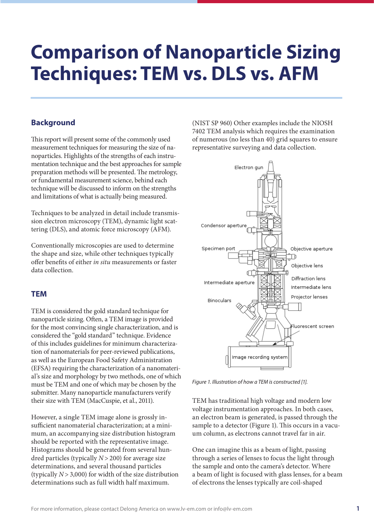# **Comparison of Nanoparticle Sizing Techniques: TEM vs. DLS vs. AFM**

## **Background**

This report will present some of the commonly used measurement techniques for measuring the size of nanoparticles. Highlights of the strengths of each instrumentation technique and the best approaches for sample preparation methods will be presented. The metrology, or fundamental measurement science, behind each technique will be discussed to inform on the strengths and limitations of what is actually being measured.

Techniques to be analyzed in detail include transmission electron microscopy (TEM), dynamic light scattering (DLS), and atomic force microscopy (AFM).

Conventionally microscopies are used to determine the shape and size, while other techniques typically offer benefits of either *in situ* measurements or faster data collection.

## **TEM**

TEM is considered the gold standard technique for nanoparticle sizing. Often, a TEM image is provided for the most convincing single characterization, and is considered the "gold standard" technique. Evidence of this includes guidelines for minimum characterization of nanomaterials for peer-reviewed publications, as well as the European Food Safety Administration (EFSA) requiring the characterization of a nanomaterial's size and morphology by two methods, one of which must be TEM and one of which may be chosen by the submitter. Many nanoparticle manufacturers verify their size with TEM (MacCuspie, et al., 2011).

However, a single TEM image alone is grossly insufficient nanomaterial characterization; at a minimum, an accompanying size distribution histogram should be reported with the representative image. Histograms should be generated from several hundred particles (typically *N* > 200) for average size determinations, and several thousand particles (typically  $N > 3,000$ ) for width of the size distribution determinations such as full width half maximum.

(NIST SP 960) Other examples include the NIOSH 7402 TEM analysis which requires the examination of numerous (no less than 40) grid squares to ensure representative surveying and data collection.



*Figure 1. Illustration of how a TEM is constructed [1].*

TEM has traditional high voltage and modern low voltage instrumentation approaches. In both cases, an electron beam is generated, is passed through the sample to a detector (Figure 1). This occurs in a vacuum column, as electrons cannot travel far in air.

One can imagine this as a beam of light, passing through a series of lenses to focus the light through the sample and onto the camera's detector. Where a beam of light is focused with glass lenses, for a beam of electrons the lenses typically are coil-shaped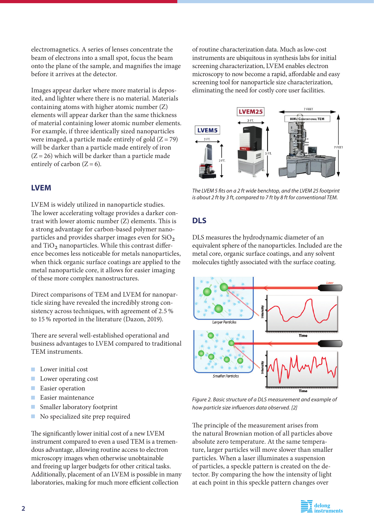electromagnetics. A series of lenses concentrate the beam of electrons into a small spot, focus the beam onto the plane of the sample, and magnifies the image before it arrives at the detector.

Images appear darker where more material is deposited, and lighter where there is no material. Materials containing atoms with higher atomic number (Z) elements will appear darker than the same thickness of material containing lower atomic number elements. For example, if three identically sized nanoparticles were imaged, a particle made entirely of gold  $(Z = 79)$ will be darker than a particle made entirely of iron  $(Z = 26)$  which will be darker than a particle made entirely of carbon  $(Z = 6)$ .

#### **LVEM**

LVEM is widely utilized in nanoparticle studies. The lower accelerating voltage provides a darker contrast with lower atomic number (Z) elements. This is a strong advantage for carbon-based polymer nanoparticles and provides sharper images even for  $SiO<sub>2</sub>$ and  $TiO<sub>2</sub>$  nanoparticles. While this contrast difference becomes less noticeable for metals nanoparticles, when thick organic surface coatings are applied to the metal nanoparticle core, it allows for easier imaging of these more complex nanostructures.

Direct comparisons of TEM and LVEM for nanoparticle sizing have revealed the incredibly strong consistency across techniques, with agreement of 2.5 % to 15 % reported in the literature (Dazon, 2019).

There are several well-established operational and business advantages to LVEM compared to traditional TEM instruments.

- **Lower initial cost**
- $\blacksquare$  Lower operating cost
- **Easier operation**
- $\blacksquare$  Easier maintenance
- Smaller laboratory footprint
- $\blacksquare$  No specialized site prep required

The significantly lower initial cost of a new LVEM instrument compared to even a used TEM is a tremendous advantage, allowing routine access to electron microscopy images when otherwise unobtainable and freeing up larger budgets for other critical tasks. Additionally, placement of an LVEM is possible in many laboratories, making for much more efficient collection

of routine characterization data. Much as low-cost instruments are ubiquitous in synthesis labs for initial screening characterization, LVEM enables electron microscopy to now become a rapid, affordable and easy screening tool for nanoparticle size characterization, eliminating the need for costly core user facilities.



*The LVEM 5 fits on a 2 ft wide benchtop, and the LVEM 25 footprint is about 2 ft by 3 ft, compared to 7 ft by 8 ft for conventional TEM.*

#### **DLS**

DLS measures the hydrodynamic diameter of an equivalent sphere of the nanoparticles. Included are the metal core, organic surface coatings, and any solvent molecules tightly associated with the surface coating.



*Figure 2. Basic structure of a DLS measurement and example of how particle size influences data observed. [2]*

The principle of the measurement arises from the natural Brownian motion of all particles above absolute zero temperature. At the same temperature, larger particles will move slower than smaller particles. When a laser illuminates a suspension of particles, a speckle pattern is created on the detector. By comparing the how the intensity of light at each point in this speckle pattern changes over

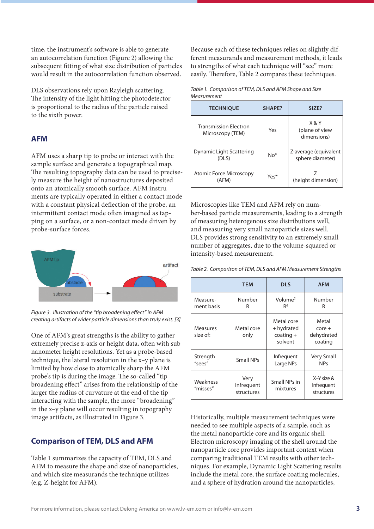time, the instrument's software is able to generate an autocorrelation function (Figure 2) allowing the subsequent fitting of what size distribution of particles would result in the autocorrelation function observed.

DLS observations rely upon Rayleigh scattering. The intensity of the light hitting the photodetector is proportional to the radius of the particle raised to the sixth power.

#### **AFM**

AFM uses a sharp tip to probe or interact with the sample surface and generate a topographical map. The resulting topography data can be used to precisely measure the height of nanostructures deposited onto an atomically smooth surface. AFM instruments are typically operated in either a contact mode with a constant physical deflection of the probe, an intermittent contact mode often imagined as tapping on a surface, or a non-contact mode driven by probe-surface forces.



*Figure 3. Illustration of the "tip broadening effect" in AFM creating artifacts of wider particle dimensions than truly exist. [3]*

One of AFM's great strengths is the ability to gather extremely precise z-axis or height data, often with sub nanometer height resolutions. Yet as a probe-based technique, the lateral resolution in the x–y plane is limited by how close to atomically sharp the AFM probe's tip is during the image. The so-called "tip broadening effect" arises from the relationship of the larger the radius of curvature at the end of the tip interacting with the sample, the more "broadening" in the x–y plane will occur resulting in topography image artifacts, as illustrated in Figure 3.

#### **Comparison of TEM, DLS and AFM**

Table 1 summarizes the capacity of TEM, DLS and AFM to measure the shape and size of nanoparticles, and which size measurands the technique utilizes (e.g. Z-height for AFM).

Because each of these techniques relies on slightly different measurands and measurement methods, it leads to strengths of what each technique will "see" more easily. Therefore, Table 2 compares these techniques.

*Table 1. Comparison of TEM, DLS and AFM Shape and Size Measurement*

| <b>TECHNIOUE</b>                                 | <b>SHAPE?</b> | SIZE?                                     |  |
|--------------------------------------------------|---------------|-------------------------------------------|--|
| <b>Transmission Electron</b><br>Microscopy (TEM) | Yes           | $X$ & Y<br>(plane of view<br>dimensions)  |  |
| Dynamic Light Scattering<br>(DLS)                | $No*$         | Z-average (equivalent<br>sphere diameter) |  |
| Atomic Force Microscopy<br>(AFM)                 | Yes*          | (height dimension)                        |  |

Microscopies like TEM and AFM rely on number-based particle measurements, leading to a strength of measuring heterogenous size distributions well, and measuring very small nanoparticle sizes well. DLS provides strong sensitivity to an extremely small number of aggregates, due to the volume-squared or intensity-based measurement.

|  |  |  |  | Table 2. Comparison of TEM, DLS and AFM Measurement Strengths |  |
|--|--|--|--|---------------------------------------------------------------|--|
|--|--|--|--|---------------------------------------------------------------|--|

|                             | <b>TEM</b>                       | <b>DLS</b>                                         | <b>AFM</b>                                  |
|-----------------------------|----------------------------------|----------------------------------------------------|---------------------------------------------|
| Measure-<br>ment basis      | Number<br>R                      | Volume <sup>2</sup><br>R <sup>6</sup>              | Number<br>R                                 |
| <b>Measures</b><br>size of: | Metal core<br>only               | Metal core<br>+ hydrated<br>$coating +$<br>solvent | Metal<br>$core +$<br>dehydrated<br>coating  |
| Strength<br>"sees"          | Small NPs                        | <b>Infrequent</b><br>Large NPs                     | <b>Very Small</b><br><b>NPs</b>             |
| Weakness<br>"misses"        | Very<br>Infrequent<br>structures | Small NPs in<br>mixtures                           | $X-Y$ size $\&$<br>Infrequent<br>structures |

Historically, multiple measurement techniques were needed to see multiple aspects of a sample, such as the metal nanoparticle core and its organic shell. Electron microscopy imaging of the shell around the nanoparticle core provides important context when comparing traditional TEM results with other techniques. For example, Dynamic Light Scattering results include the metal core, the surface coating molecules, and a sphere of hydration around the nanoparticles,